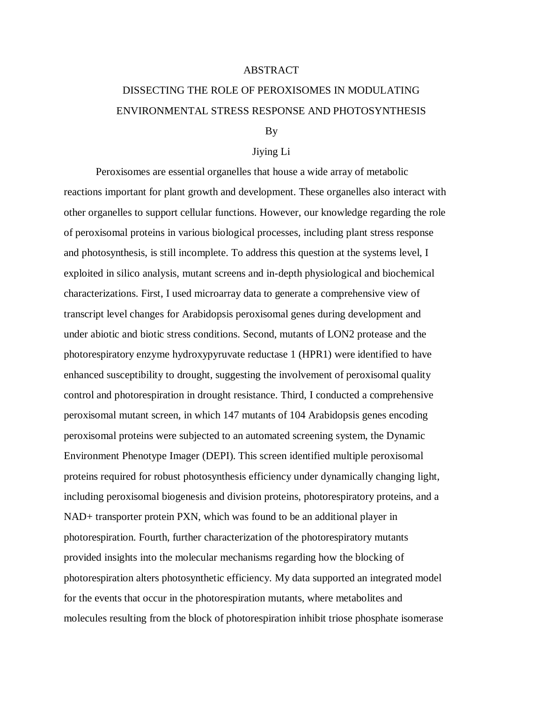## ABSTRACT

## DISSECTING THE ROLE OF PEROXISOMES IN MODULATING ENVIRONMENTAL STRESS RESPONSE AND PHOTOSYNTHESIS

## By

## Jiying Li

Peroxisomes are essential organelles that house a wide array of metabolic reactions important for plant growth and development. These organelles also interact with other organelles to support cellular functions. However, our knowledge regarding the role of peroxisomal proteins in various biological processes, including plant stress response and photosynthesis, is still incomplete. To address this question at the systems level, I exploited in silico analysis, mutant screens and in-depth physiological and biochemical characterizations. First, I used microarray data to generate a comprehensive view of transcript level changes for Arabidopsis peroxisomal genes during development and under abiotic and biotic stress conditions. Second, mutants of LON2 protease and the photorespiratory enzyme hydroxypyruvate reductase 1 (HPR1) were identified to have enhanced susceptibility to drought, suggesting the involvement of peroxisomal quality control and photorespiration in drought resistance. Third, I conducted a comprehensive peroxisomal mutant screen, in which 147 mutants of 104 Arabidopsis genes encoding peroxisomal proteins were subjected to an automated screening system, the Dynamic Environment Phenotype Imager (DEPI). This screen identified multiple peroxisomal proteins required for robust photosynthesis efficiency under dynamically changing light, including peroxisomal biogenesis and division proteins, photorespiratory proteins, and a NAD+ transporter protein PXN, which was found to be an additional player in photorespiration. Fourth, further characterization of the photorespiratory mutants provided insights into the molecular mechanisms regarding how the blocking of photorespiration alters photosynthetic efficiency. My data supported an integrated model for the events that occur in the photorespiration mutants, where metabolites and molecules resulting from the block of photorespiration inhibit triose phosphate isomerase